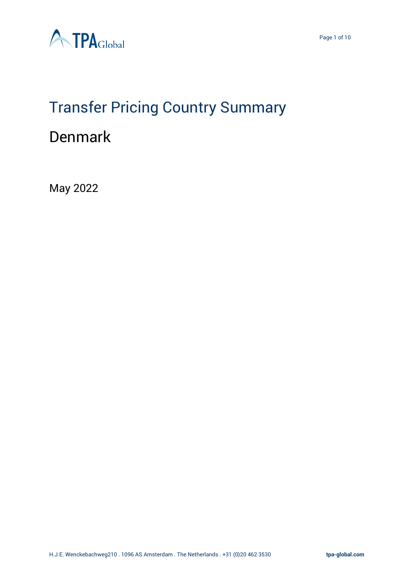



# Transfer Pricing Country Summary

# Denmark

May 2022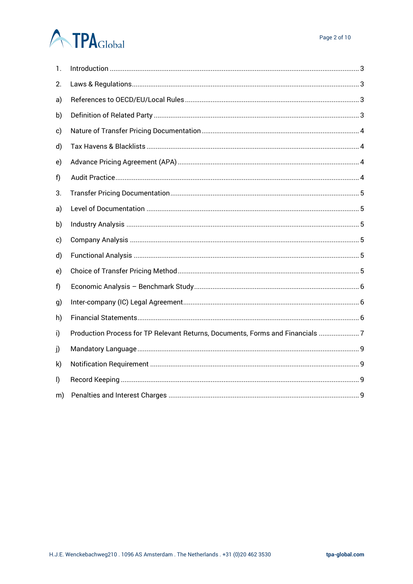# **ATPA**Global

| 1. |                                                                               |
|----|-------------------------------------------------------------------------------|
| 2. |                                                                               |
| a) |                                                                               |
| b) |                                                                               |
| c) |                                                                               |
| d) |                                                                               |
| e) |                                                                               |
| f) |                                                                               |
| 3. |                                                                               |
| a) |                                                                               |
| b) |                                                                               |
| c) |                                                                               |
| d) |                                                                               |
| e) |                                                                               |
| f) |                                                                               |
| g) |                                                                               |
| h) |                                                                               |
| i) | Production Process for TP Relevant Returns, Documents, Forms and Financials 7 |
| j) |                                                                               |
| k) |                                                                               |
| I) |                                                                               |
| m) |                                                                               |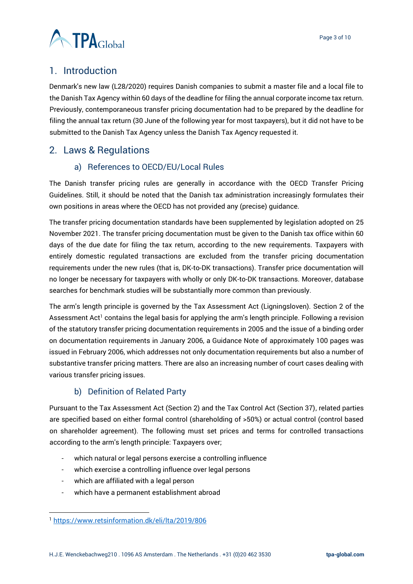Page 3 of 10



# <span id="page-2-0"></span>1. Introduction

Denmark's new law (L28/2020) requires Danish companies to submit a master file and a local file to the Danish Tax Agency within 60 days of the deadline for filing the annual corporate income tax return. Previously, contemporaneous transfer pricing documentation had to be prepared by the deadline for filing the annual tax return (30 June of the following year for most taxpayers), but it did not have to be submitted to the Danish Tax Agency unless the Danish Tax Agency requested it.

# <span id="page-2-2"></span><span id="page-2-1"></span>2. Laws & Regulations

### a) References to OECD/EU/Local Rules

The Danish transfer pricing rules are generally in accordance with the OECD Transfer Pricing Guidelines. Still, it should be noted that the Danish tax administration increasingly formulates their own positions in areas where the OECD has not provided any (precise) guidance.

The transfer pricing documentation standards have been supplemented by legislation adopted on 25 November 2021. The transfer pricing documentation must be given to the Danish tax office within 60 days of the due date for filing the tax return, according to the new requirements. Taxpayers with entirely domestic regulated transactions are excluded from the transfer pricing documentation requirements under the new rules (that is, DK-to-DK transactions). Transfer price documentation will no longer be necessary for taxpayers with wholly or only DK-to-DK transactions. Moreover, database searches for benchmark studies will be substantially more common than previously.

The arm's length principle is governed by the Tax Assessment Act (Ligningsloven). Section 2 of the Assessment Act<sup>1</sup> contains the legal basis for applying the arm's length principle. Following a revision of the statutory transfer pricing documentation requirements in 2005 and the issue of a binding order on documentation requirements in January 2006, a Guidance Note of approximately 100 pages was issued in February 2006, which addresses not only documentation requirements but also a number of substantive transfer pricing matters. There are also an increasing number of court cases dealing with various transfer pricing issues.

#### b) Definition of Related Party

<span id="page-2-3"></span>Pursuant to the Tax Assessment Act (Section 2) and the Tax Control Act (Section 37), related parties are specified based on either formal control (shareholding of >50%) or actual control (control based on shareholder agreement). The following must set prices and terms for controlled transactions according to the arm's length principle: Taxpayers over;

- which natural or legal persons exercise a controlling influence
- which exercise a controlling influence over legal persons
- which are affiliated with a legal person
- which have a permanent establishment abroad

<sup>1</sup> <https://www.retsinformation.dk/eli/lta/2019/806>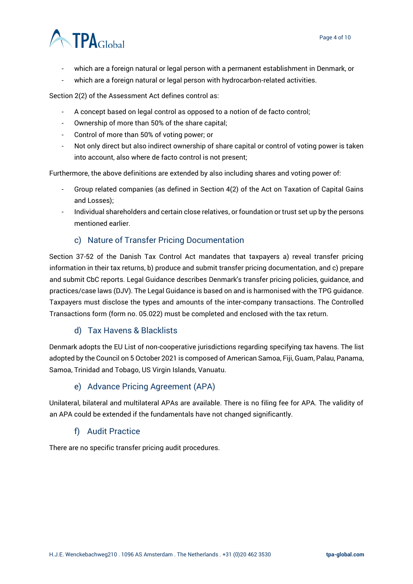# **TPA**Global

- which are a foreign natural or legal person with a permanent establishment in Denmark, or
- which are a foreign natural or legal person with hydrocarbon-related activities.

Section 2(2) of the Assessment Act defines control as:

- A concept based on legal control as opposed to a notion of de facto control;
- Ownership of more than 50% of the share capital;
- Control of more than 50% of voting power; or
- Not only direct but also indirect ownership of share capital or control of voting power is taken into account, also where de facto control is not present;

Furthermore, the above definitions are extended by also including shares and voting power of:

- Group related companies (as defined in Section 4(2) of the Act on Taxation of Capital Gains and Losses);
- Individual shareholders and certain close relatives, or foundation or trust set up by the persons mentioned earlier.

#### c) Nature of Transfer Pricing Documentation

<span id="page-3-0"></span>Section 37-52 of the Danish Tax Control Act mandates that taxpayers a) reveal transfer pricing information in their tax returns, b) produce and submit transfer pricing documentation, and c) prepare and submit CbC reports. Legal Guidance describes Denmark's transfer pricing policies, guidance, and practices/case laws (DJV). The Legal Guidance is based on and is harmonised with the TPG guidance. Taxpayers must disclose the types and amounts of the inter-company transactions. The Controlled Transactions form (form no. 05.022) must be completed and enclosed with the tax return.

#### d) Tax Havens & Blacklists

<span id="page-3-1"></span>Denmark adopts the EU List of non-cooperative jurisdictions regarding specifying tax havens. The list adopted by the Council on 5 October 2021 is composed of American Samoa, Fiji, Guam, Palau, Panama, Samoa, Trinidad and Tobago, US Virgin Islands, Vanuatu.

#### e) Advance Pricing Agreement (APA)

<span id="page-3-2"></span>Unilateral, bilateral and multilateral APAs are available. There is no filing fee for APA. The validity of an APA could be extended if the fundamentals have not changed significantly.

#### f) Audit Practice

<span id="page-3-3"></span>There are no specific transfer pricing audit procedures.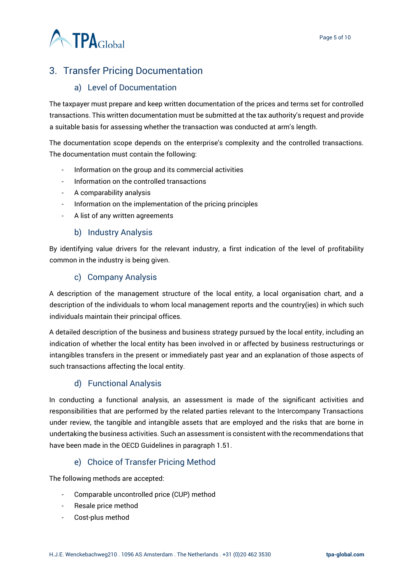

# <span id="page-4-0"></span>3. Transfer Pricing Documentation

#### a) Level of Documentation

<span id="page-4-1"></span>The taxpayer must prepare and keep written documentation of the prices and terms set for controlled transactions. This written documentation must be submitted at the tax authority's request and provide a suitable basis for assessing whether the transaction was conducted at arm's length.

The documentation scope depends on the enterprise's complexity and the controlled transactions. The documentation must contain the following:

- Information on the group and its commercial activities
- Information on the controlled transactions
- A comparability analysis
- Information on the implementation of the pricing principles
- A list of any written agreements

#### b) Industry Analysis

<span id="page-4-2"></span>By identifying value drivers for the relevant industry, a first indication of the level of profitability common in the industry is being given.

#### c) Company Analysis

<span id="page-4-3"></span>A description of the management structure of the local entity, a local organisation chart, and a description of the individuals to whom local management reports and the country(ies) in which such individuals maintain their principal offices.

A detailed description of the business and business strategy pursued by the local entity, including an indication of whether the local entity has been involved in or affected by business restructurings or intangibles transfers in the present or immediately past year and an explanation of those aspects of such transactions affecting the local entity.

## d) Functional Analysis

<span id="page-4-4"></span>In conducting a functional analysis, an assessment is made of the significant activities and responsibilities that are performed by the related parties relevant to the Intercompany Transactions under review, the tangible and intangible assets that are employed and the risks that are borne in undertaking the business activities. Such an assessment is consistent with the recommendations that have been made in the OECD Guidelines in paragraph 1.51.

#### e) Choice of Transfer Pricing Method

<span id="page-4-5"></span>The following methods are accepted:

- Comparable uncontrolled price (CUP) method
- Resale price method
- Cost-plus method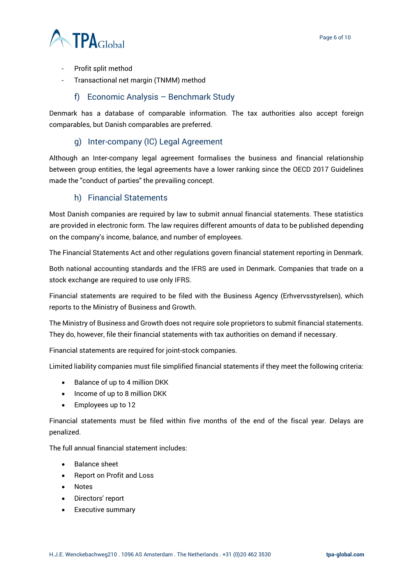

- Profit split method
- Transactional net margin (TNMM) method

#### f) Economic Analysis – Benchmark Study

<span id="page-5-0"></span>Denmark has a database of comparable information. The tax authorities also accept foreign comparables, but Danish comparables are preferred.

#### g) Inter-company (IC) Legal Agreement

<span id="page-5-1"></span>Although an Inter-company legal agreement formalises the business and financial relationship between group entities, the legal agreements have a lower ranking since the OECD 2017 Guidelines made the "conduct of parties" the prevailing concept.

#### h) Financial Statements

<span id="page-5-2"></span>Most Danish companies are required by law to submit annual financial statements. These statistics are provided in electronic form. The law requires different amounts of data to be published depending on the company's income, balance, and number of employees.

The Financial Statements Act and other regulations govern financial statement reporting in Denmark.

Both national accounting standards and the IFRS are used in Denmark. Companies that trade on a stock exchange are required to use only IFRS.

Financial statements are required to be filed with the Business Agency (Erhvervsstyrelsen), which reports to the Ministry of Business and Growth.

The Ministry of Business and Growth does not require sole proprietors to submit financial statements. They do, however, file their financial statements with tax authorities on demand if necessary.

Financial statements are required for joint-stock companies.

Limited liability companies must file simplified financial statements if they meet the following criteria:

- Balance of up to 4 million DKK
- Income of up to 8 million DKK
- Employees up to 12

Financial statements must be filed within five months of the end of the fiscal year. Delays are penalized.

The full annual financial statement includes:

- Balance sheet
- Report on Profit and Loss
- Notes
- Directors' report
- Executive summary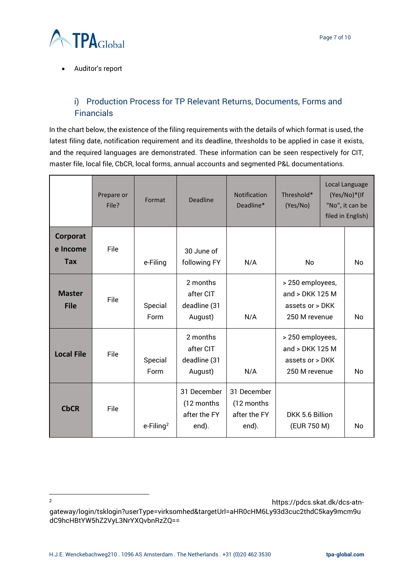

• Auditor's report

## <span id="page-6-0"></span>i) Production Process for TP Relevant Returns, Documents, Forms and **Financials**

In the chart below, the existence of the filing requirements with the details of which format is used, the latest filing date, notification requirement and its deadline, thresholds to be applied in case it exists, and the required languages are demonstrated. These information can be seen respectively for CIT, master file, local file, CbCR, local forms, annual accounts and segmented P&L documentations.

|                                    | Prepare or<br>File? | Format                   | Deadline                                            | <b>Notification</b><br>Deadline*                    | Threshold*<br>(Yes/No)                                                    |  | Local Language<br>(Yes/No)*(If<br>"No", it can be<br>filed in English) |
|------------------------------------|---------------------|--------------------------|-----------------------------------------------------|-----------------------------------------------------|---------------------------------------------------------------------------|--|------------------------------------------------------------------------|
| Corporat<br>e Income<br><b>Tax</b> | File                | e-Filing                 | 30 June of<br>following FY                          | N/A                                                 | No                                                                        |  | N <sub>o</sub>                                                         |
| <b>Master</b><br><b>File</b>       | File                | Special<br>Form          | 2 months<br>after CIT<br>deadline (31<br>August)    | N/A                                                 | > 250 employees,<br>and > DKK 125 M<br>assets or > DKK<br>250 M revenue   |  | No                                                                     |
| <b>Local File</b>                  | File                | Special<br>Form          | 2 months<br>after CIT<br>deadline (31<br>August)    | N/A                                                 | > 250 employees,<br>and > DKK 125 M<br>assets or $>$ DKK<br>250 M revenue |  | No                                                                     |
| <b>CbCR</b>                        | File                | $e$ -Filing <sup>2</sup> | 31 December<br>(12 months)<br>after the FY<br>end). | 31 December<br>(12 months)<br>after the FY<br>end). | DKK 5.6 Billion<br>(EUR 750 M)                                            |  | No                                                                     |

<sup>2</sup> https://pdcs.skat.dk/dcs-atngateway/login/tsklogin?userType=virksomhed&targetUrl=aHR0cHM6Ly93d3cuc2thdC5kay9mcm9u dC9hcHBtYW5hZ2VyL3NrYXQvbnRzZQ==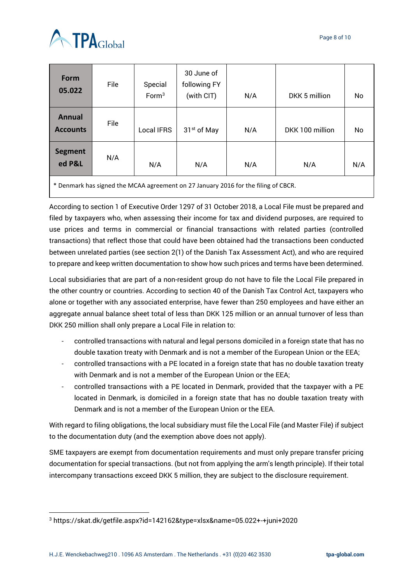



| <b>Form</b><br>05.022                                                              | File | Special<br>Form <sup>3</sup> | 30 June of<br>following FY<br>(with CIT) | N/A | DKK 5 million   | No  |  |  |
|------------------------------------------------------------------------------------|------|------------------------------|------------------------------------------|-----|-----------------|-----|--|--|
| <b>Annual</b><br><b>Accounts</b>                                                   | File | <b>Local IFRS</b>            | 31 <sup>st</sup> of May                  | N/A | DKK 100 million | No  |  |  |
| <b>Segment</b><br>ed P&L                                                           | N/A  | N/A                          | N/A                                      | N/A | N/A             | N/A |  |  |
| * Denmark has signed the MCAA agreement on 27 January 2016 for the filing of CBCR. |      |                              |                                          |     |                 |     |  |  |

According to section 1 of Executive Order 1297 of 31 October 2018, a Local File must be prepared and filed by taxpayers who, when assessing their income for tax and dividend purposes, are required to use prices and terms in commercial or financial transactions with related parties (controlled transactions) that reflect those that could have been obtained had the transactions been conducted between unrelated parties (see section 2(1) of the Danish Tax Assessment Act), and who are required to prepare and keep written documentation to show how such prices and terms have been determined.

Local subsidiaries that are part of a non-resident group do not have to file the Local File prepared in the other country or countries. According to section 40 of the Danish Tax Control Act, taxpayers who alone or together with any associated enterprise, have fewer than 250 employees and have either an aggregate annual balance sheet total of less than DKK 125 million or an annual turnover of less than DKK 250 million shall only prepare a Local File in relation to:

- controlled transactions with natural and legal persons domiciled in a foreign state that has no double taxation treaty with Denmark and is not a member of the European Union or the EEA;
- controlled transactions with a PE located in a foreign state that has no double taxation treaty with Denmark and is not a member of the European Union or the EEA;
- controlled transactions with a PE located in Denmark, provided that the taxpayer with a PE located in Denmark, is domiciled in a foreign state that has no double taxation treaty with Denmark and is not a member of the European Union or the EEA.

With regard to filing obligations, the local subsidiary must file the Local File (and Master File) if subject to the documentation duty (and the exemption above does not apply).

SME taxpayers are exempt from documentation requirements and must only prepare transfer pricing documentation for special transactions. (but not from applying the arm's length principle). If their total intercompany transactions exceed DKK 5 million, they are subject to the disclosure requirement.

<sup>3</sup> https://skat.dk/getfile.aspx?id=142162&type=xlsx&name=05.022+-+juni+2020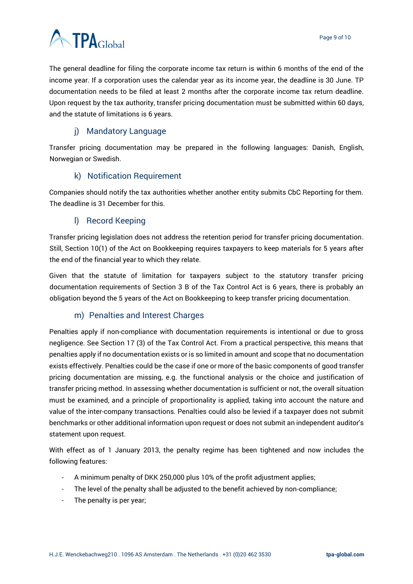The general deadline for filing the corporate income tax return is within 6 months of the end of the income year. If a corporation uses the calendar year as its income year, the deadline is 30 June. TP documentation needs to be filed at least 2 months after the corporate income tax return deadline. Upon request by the tax authority, transfer pricing documentation must be submitted within 60 days, and the statute of limitations is 6 years.

### j) Mandatory Language

<span id="page-8-0"></span>Transfer pricing documentation may be prepared in the following languages: Danish, English, Norwegian or Swedish.

#### k) Notification Requirement

<span id="page-8-1"></span>Companies should notify the tax authorities whether another entity submits CbC Reporting for them. The deadline is 31 December for this.

#### l) Record Keeping

<span id="page-8-2"></span>Transfer pricing legislation does not address the retention period for transfer pricing documentation. Still, Section 10(1) of the Act on Bookkeeping requires taxpayers to keep materials for 5 years after the end of the financial year to which they relate.

Given that the statute of limitation for taxpayers subject to the statutory transfer pricing documentation requirements of Section 3 B of the Tax Control Act is 6 years, there is probably an obligation beyond the 5 years of the Act on Bookkeeping to keep transfer pricing documentation.

#### m) Penalties and Interest Charges

<span id="page-8-3"></span>Penalties apply if non-compliance with documentation requirements is intentional or due to gross negligence. See Section 17 (3) of the Tax Control Act. From a practical perspective, this means that penalties apply if no documentation exists or is so limited in amount and scope that no documentation exists effectively. Penalties could be the case if one or more of the basic components of good transfer pricing documentation are missing, e.g. the functional analysis or the choice and justification of transfer pricing method. In assessing whether documentation is sufficient or not, the overall situation must be examined, and a principle of proportionality is applied, taking into account the nature and value of the inter-company transactions. Penalties could also be levied if a taxpayer does not submit benchmarks or other additional information upon request or does not submit an independent auditor's statement upon request.

With effect as of 1 January 2013, the penalty regime has been tightened and now includes the following features:

- A minimum penalty of DKK 250,000 plus 10% of the profit adjustment applies;
- The level of the penalty shall be adjusted to the benefit achieved by non-compliance;
- The penalty is per year;